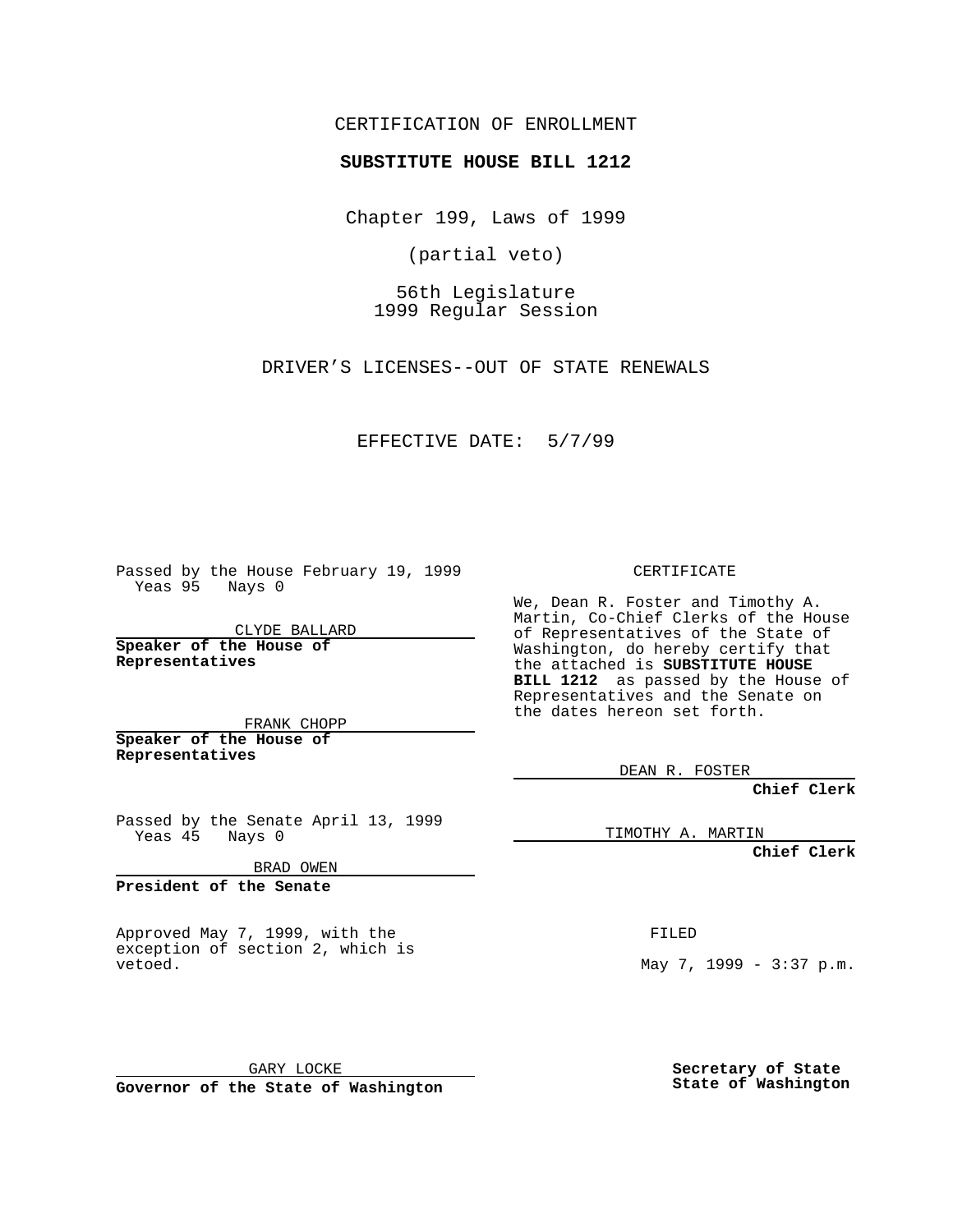CERTIFICATION OF ENROLLMENT

## **SUBSTITUTE HOUSE BILL 1212**

Chapter 199, Laws of 1999

(partial veto)

56th Legislature 1999 Regular Session

DRIVER'S LICENSES--OUT OF STATE RENEWALS

## EFFECTIVE DATE: 5/7/99

Passed by the House February 19, 1999 Yeas 95 Nays 0

CLYDE BALLARD **Speaker of the House of Representatives**

FRANK CHOPP **Speaker of the House of Representatives**

Passed by the Senate April 13, 1999 Yeas 45 Nays 0

BRAD OWEN

**President of the Senate**

Approved May 7, 1999, with the exception of section 2, which is vetoed.

GARY LOCKE

**Governor of the State of Washington**

CERTIFICATE

We, Dean R. Foster and Timothy A. Martin, Co-Chief Clerks of the House of Representatives of the State of Washington, do hereby certify that the attached is **SUBSTITUTE HOUSE BILL 1212** as passed by the House of Representatives and the Senate on the dates hereon set forth.

DEAN R. FOSTER

**Chief Clerk**

TIMOTHY A. MARTIN

**Chief Clerk**

FILED

May 7, 1999 - 3:37 p.m.

**Secretary of State State of Washington**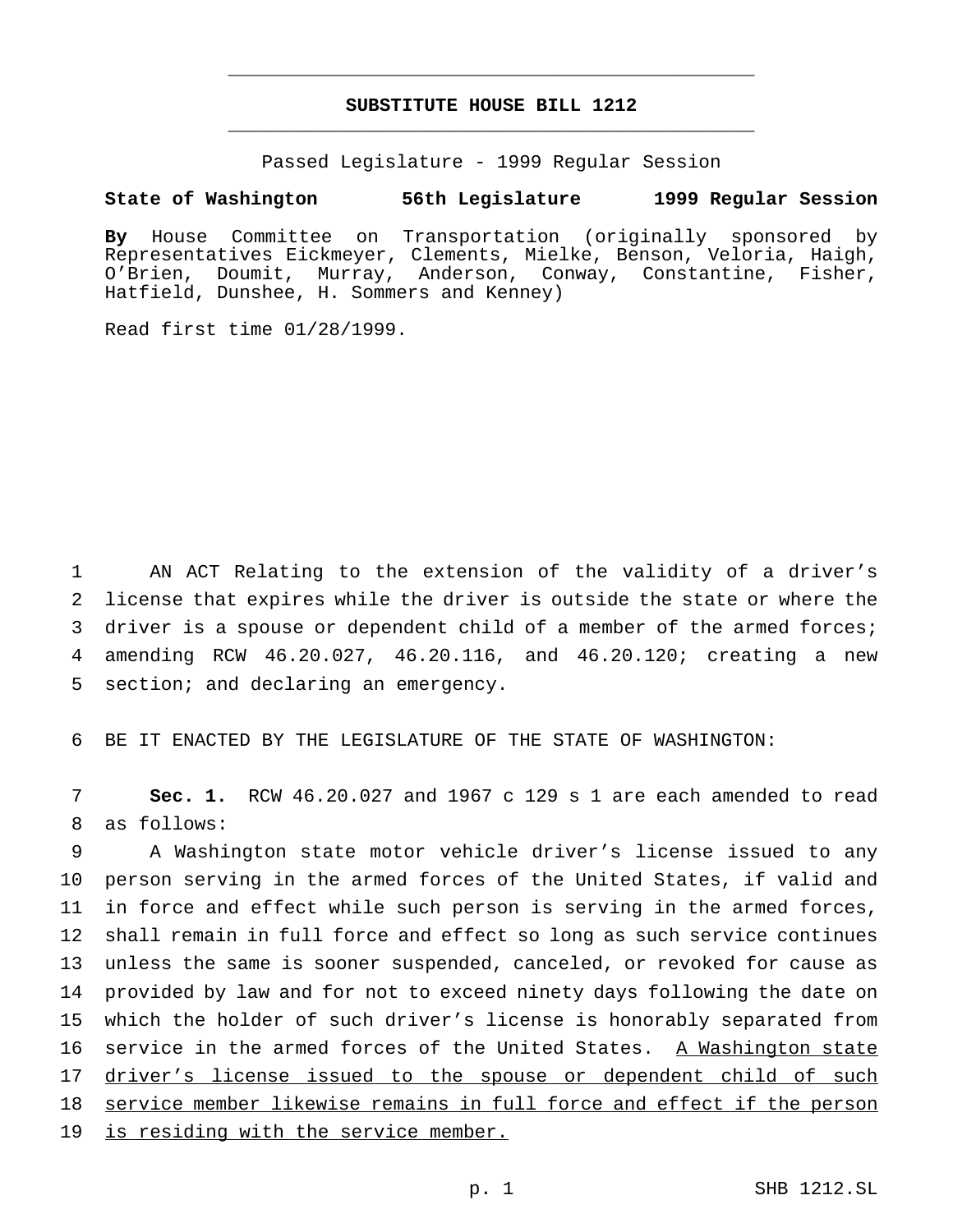## **SUBSTITUTE HOUSE BILL 1212** \_\_\_\_\_\_\_\_\_\_\_\_\_\_\_\_\_\_\_\_\_\_\_\_\_\_\_\_\_\_\_\_\_\_\_\_\_\_\_\_\_\_\_\_\_\_\_

\_\_\_\_\_\_\_\_\_\_\_\_\_\_\_\_\_\_\_\_\_\_\_\_\_\_\_\_\_\_\_\_\_\_\_\_\_\_\_\_\_\_\_\_\_\_\_

Passed Legislature - 1999 Regular Session

## **State of Washington 56th Legislature 1999 Regular Session**

**By** House Committee on Transportation (originally sponsored by Representatives Eickmeyer, Clements, Mielke, Benson, Veloria, Haigh, O'Brien, Doumit, Murray, Anderson, Conway, Constantine, Fisher, Hatfield, Dunshee, H. Sommers and Kenney)

Read first time 01/28/1999.

 AN ACT Relating to the extension of the validity of a driver's license that expires while the driver is outside the state or where the driver is a spouse or dependent child of a member of the armed forces; amending RCW 46.20.027, 46.20.116, and 46.20.120; creating a new section; and declaring an emergency.

6 BE IT ENACTED BY THE LEGISLATURE OF THE STATE OF WASHINGTON:

7 **Sec. 1.** RCW 46.20.027 and 1967 c 129 s 1 are each amended to read 8 as follows:

 A Washington state motor vehicle driver's license issued to any person serving in the armed forces of the United States, if valid and in force and effect while such person is serving in the armed forces, shall remain in full force and effect so long as such service continues unless the same is sooner suspended, canceled, or revoked for cause as provided by law and for not to exceed ninety days following the date on which the holder of such driver's license is honorably separated from service in the armed forces of the United States. A Washington state 17 driver's license issued to the spouse or dependent child of such 18 service member likewise remains in full force and effect if the person is residing with the service member.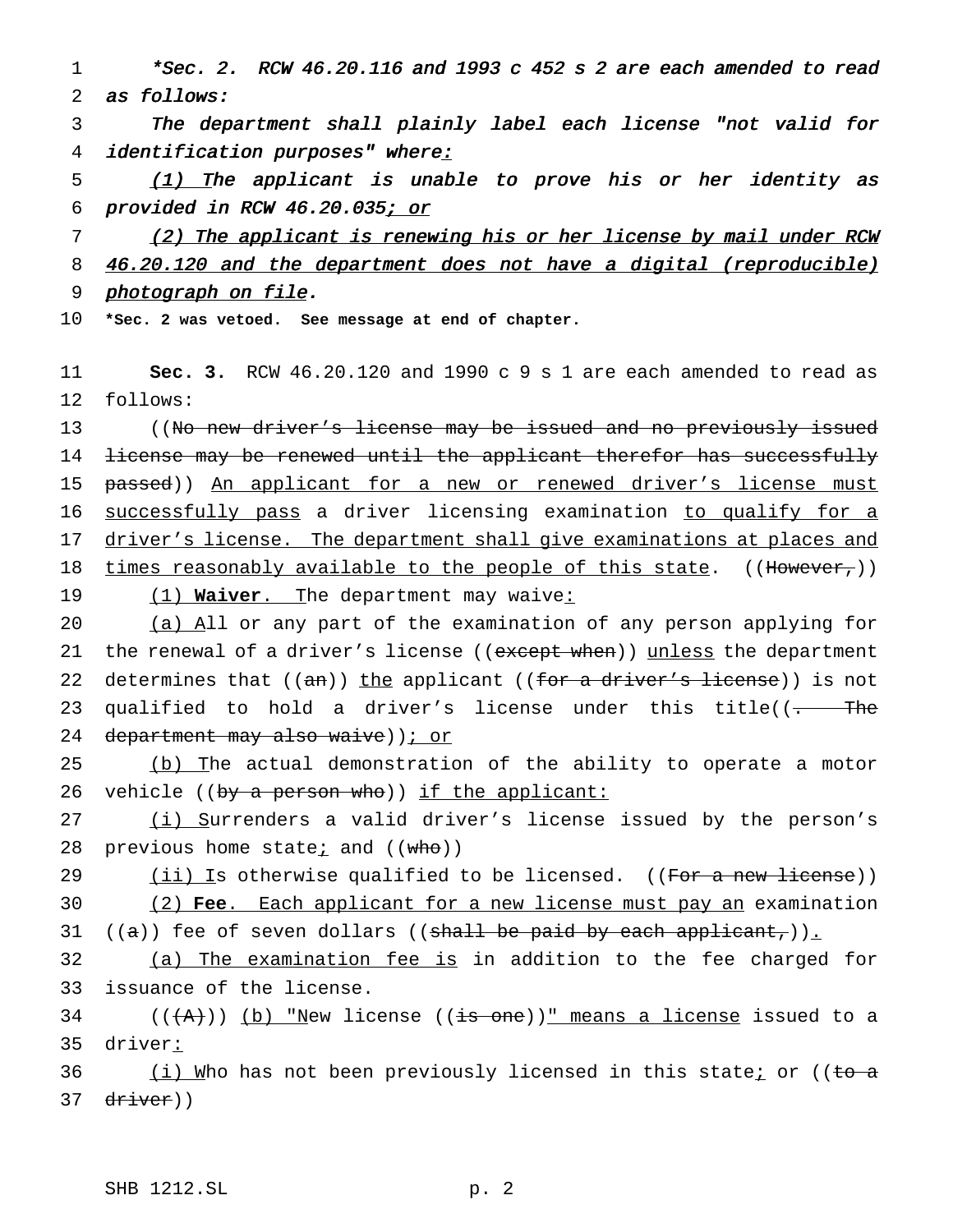1 \*Sec. 2. RCW 46.20.116 and <sup>1993</sup> <sup>c</sup> <sup>452</sup> <sup>s</sup> <sup>2</sup> are each amended to read 2 as follows:

3 The department shall plainly label each license "not valid for 4 identification purposes" where:

 $\frac{(1)}{1}$  The applicant is unable to prove his or her identity as 6 provided in RCW 46.20.035; or

7 (2) The applicant is renewing his or her license by mail under RCW 8 46.20.120 and the department does not have a digital (reproducible) 9 photograph on file.

10 **\*Sec. 2 was vetoed. See message at end of chapter.**

11 **Sec. 3.** RCW 46.20.120 and 1990 c 9 s 1 are each amended to read as 12 follows:

13 ((No new driver's license may be issued and no previously issued 14 <del>license may be renewed until the applicant therefor has successfully</del> 15 passed)) An applicant for a new or renewed driver's license must 16 successfully pass a driver licensing examination to qualify for a 17 driver's license. The department shall give examinations at places and 18 times reasonably available to the people of this state.  $((\text{However},))$ 19 (1) **Waiver**. The department may waive:

20 (a) All or any part of the examination of any person applying for 21 the renewal of a driver's license ((except when)) unless the department 22 determines that  $((an))$  the applicant  $((for a driver's license))$  is not 23 qualified to hold a driver's license under this title( $\overline{(- -$  The 24 department may also waive) ) i or

25 (b) The actual demonstration of the ability to operate a motor 26 vehicle ((by a person who)) if the applicant:

27 (i) Surrenders a valid driver's license issued by the person's 28 previous home state; and  $((who))$ 

29  $(iii)$  Is otherwise qualified to be licensed. ((For a new license)) 30 (2) **Fee**. Each applicant for a new license must pay an examination

31 ( $(a)$ ) fee of seven dollars ((shall be paid by each applicant,)).

32 (a) The examination fee is in addition to the fee charged for 33 issuance of the license.

34 ( $(\overline{+A})$ ) (b) "New license (( $\overline{+s}$  one))" means a license issued to a 35 driver:

36 (i) Who has not been previously licensed in this state<u>;</u> or ((to a 37 driver))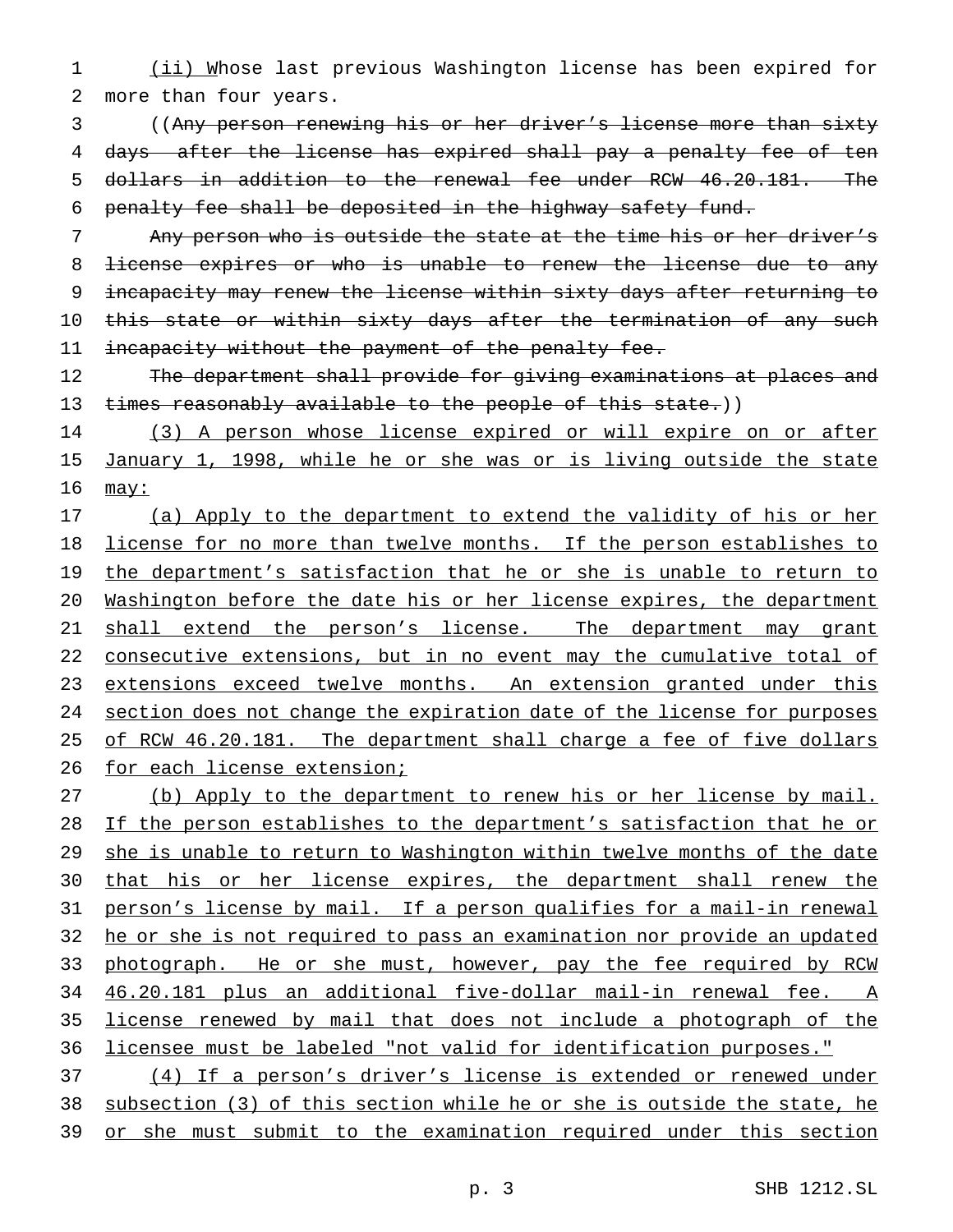1 (ii) Whose last previous Washington license has been expired for 2 more than four years.

 ((Any person renewing his or her driver's license more than sixty 4 days after the license has expired shall pay a penalty fee of ten dollars in addition to the renewal fee under RCW 46.20.181. The penalty fee shall be deposited in the highway safety fund.

7 Any person who is outside the state at the time his or her driver's 8 <del>license expires or who is unable to renew the license due to any</del> 9 incapacity may renew the license within sixty days after returning to 10 this state or within sixty days after the termination of any such 11 incapacity without the payment of the penalty fee.

12 The department shall provide for giving examinations at places and 13 times reasonably available to the people of this state.))

14 (3) A person whose license expired or will expire on or after 15 January 1, 1998, while he or she was or is living outside the state  $16$  may:

17 (a) Apply to the department to extend the validity of his or her 18 license for no more than twelve months. If the person establishes to 19 the department's satisfaction that he or she is unable to return to 20 Washington before the date his or her license expires, the department 21 shall extend the person's license. The department may grant 22 consecutive extensions, but in no event may the cumulative total of 23 extensions exceed twelve months. An extension granted under this 24 section does not change the expiration date of the license for purposes 25 of RCW 46.20.181. The department shall charge a fee of five dollars 26 for each license extension;

 (b) Apply to the department to renew his or her license by mail. If the person establishes to the department's satisfaction that he or 29 she is unable to return to Washington within twelve months of the date that his or her license expires, the department shall renew the person's license by mail. If a person qualifies for a mail-in renewal he or she is not required to pass an examination nor provide an updated 33 photograph. He or she must, however, pay the fee required by RCW 46.20.181 plus an additional five-dollar mail-in renewal fee. A license renewed by mail that does not include a photograph of the licensee must be labeled "not valid for identification purposes."

37 (4) If a person's driver's license is extended or renewed under 38 subsection (3) of this section while he or she is outside the state, he 39 or she must submit to the examination required under this section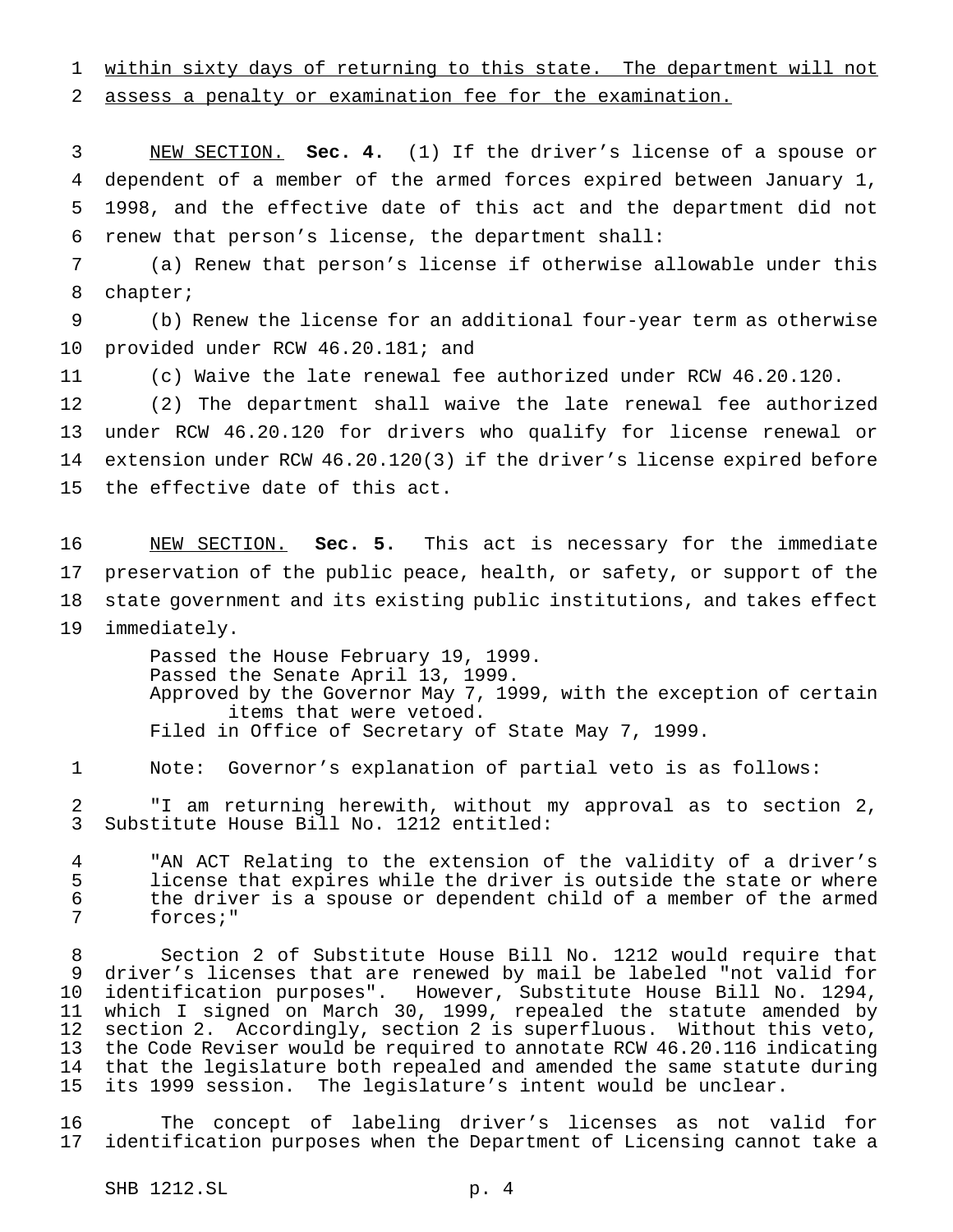within sixty days of returning to this state. The department will not

assess a penalty or examination fee for the examination.

 NEW SECTION. **Sec. 4.** (1) If the driver's license of a spouse or dependent of a member of the armed forces expired between January 1, 1998, and the effective date of this act and the department did not renew that person's license, the department shall:

 (a) Renew that person's license if otherwise allowable under this chapter;

 (b) Renew the license for an additional four-year term as otherwise provided under RCW 46.20.181; and

(c) Waive the late renewal fee authorized under RCW 46.20.120.

 (2) The department shall waive the late renewal fee authorized under RCW 46.20.120 for drivers who qualify for license renewal or extension under RCW 46.20.120(3) if the driver's license expired before the effective date of this act.

 NEW SECTION. **Sec. 5.** This act is necessary for the immediate preservation of the public peace, health, or safety, or support of the state government and its existing public institutions, and takes effect immediately.

> Passed the House February 19, 1999. Passed the Senate April 13, 1999. Approved by the Governor May 7, 1999, with the exception of certain items that were vetoed. Filed in Office of Secretary of State May 7, 1999.

Note: Governor's explanation of partial veto is as follows:

 "I am returning herewith, without my approval as to section 2, Substitute House Bill No. 1212 entitled:

4 TAN ACT Relating to the extension of the validity of a driver's<br>5 Iicense that expires while the driver is outside the state or where license that expires while the driver is outside the state or where 6 the driver is a spouse or dependent child of a member of the armed<br>7 forces;" forces;"

 Section 2 of Substitute House Bill No. 1212 would require that driver's licenses that are renewed by mail be labeled "not valid for identification purposes". However, Substitute House Bill No. 1294, which I signed on March 30, 1999, repealed the statute amended by section 2. Accordingly, section 2 is superfluous. Without this veto, the Code Reviser would be required to annotate RCW 46.20.116 indicating 14 that the legislature both repealed and amended the same statute during<br>15 its 1999 session. The legislature's intent would be unclear. its 1999 session. The legislature's intent would be unclear.

 The concept of labeling driver's licenses as not valid for identification purposes when the Department of Licensing cannot take a